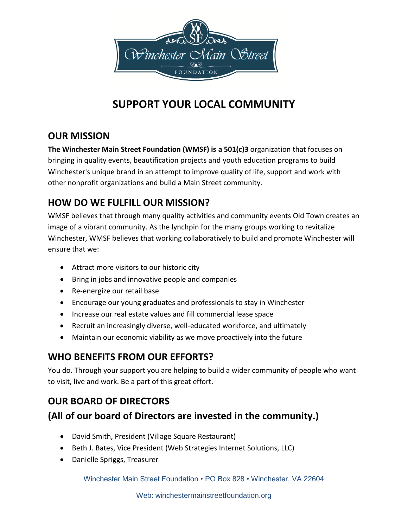

# **SUPPORT YOUR LOCAL COMMUNITY**

## **OUR MISSION**

**The Winchester Main Street Foundation (WMSF) is a 501(c)3** organization that focuses on bringing in quality events, beautification projects and youth education programs to build Winchester's unique brand in an attempt to improve quality of life, support and work with other nonprofit organizations and build a Main Street community.

### **HOW DO WE FULFILL OUR MISSION?**

WMSF believes that through many quality activities and community events Old Town creates an image of a vibrant community. As the lynchpin for the many groups working to revitalize Winchester, WMSF believes that working collaboratively to build and promote Winchester will ensure that we:

- Attract more visitors to our historic city
- Bring in jobs and innovative people and companies
- Re-energize our retail base
- Encourage our young graduates and professionals to stay in Winchester
- Increase our real estate values and fill commercial lease space
- Recruit an increasingly diverse, well-educated workforce, and ultimately
- Maintain our economic viability as we move proactively into the future

#### **WHO BENEFITS FROM OUR EFFORTS?**

You do. Through your support you are helping to build a wider community of people who want to visit, live and work. Be a part of this great effort.

### **OUR BOARD OF DIRECTORS**

## **(All of our board of Directors are invested in the community.)**

- David Smith, President (Village Square Restaurant)
- Beth J. Bates, Vice President (Web Strategies Internet Solutions, LLC)
- Danielle Spriggs, Treasurer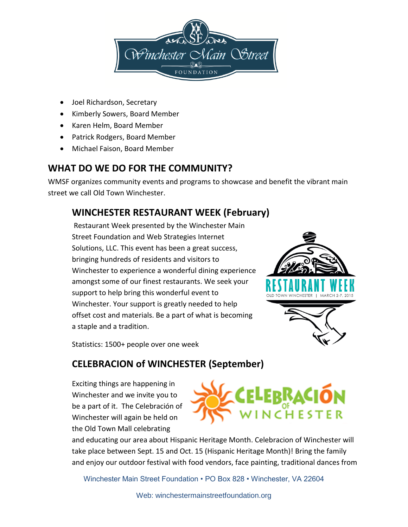

- Joel Richardson, Secretary
- Kimberly Sowers, Board Member
- Karen Helm, Board Member
- Patrick Rodgers, Board Member
- Michael Faison, Board Member

### **WHAT DO WE DO FOR THE COMMUNITY?**

WMSF organizes community events and programs to showcase and benefit the vibrant main street we call Old Town Winchester.

## **WINCHESTER RESTAURANT WEEK (February)**

Restaurant Week presented by the Winchester Main Street Foundation and Web Strategies Internet Solutions, LLC. This event has been a great success, bringing hundreds of residents and visitors to Winchester to experience a wonderful dining experience amongst some of our finest restaurants. We seek your support to help bring this wonderful event to Winchester. Your support is greatly needed to help offset cost and materials. Be a part of what is becoming a staple and a tradition.



Statistics: 1500+ people over one week

### **CELEBRACION of WINCHESTER (September)**

Exciting things are happening in Winchester and we invite you to be a part of it. The Celebración of Winchester will again be held on the Old Town Mall celebrating



and educating our area about Hispanic Heritage Month. Celebracion of Winchester will take place between Sept. 15 and Oct. 15 (Hispanic Heritage Month)! Bring the family and enjoy our outdoor festival with food vendors, face painting, traditional dances from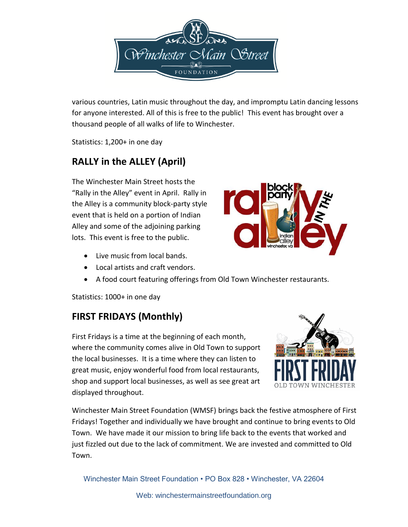

various countries, Latin music throughout the day, and impromptu Latin dancing lessons for anyone interested. All of this is free to the public! This event has brought over a thousand people of all walks of life to Winchester.

Statistics: 1,200+ in one day

# **RALLY in the ALLEY (April)**

The Winchester Main Street hosts the "Rally in the Alley" event in April. Rally in the Alley is a community block-party style event that is held on a portion of Indian Alley and some of the adjoining parking lots. This event is free to the public.

- Live music from local bands.
- Local artists and craft vendors.
- A food court featuring offerings from Old Town Winchester restaurants.

Statistics: 1000+ in one day

## **FIRST FRIDAYS (Monthly)**

First Fridays is a time at the beginning of each month, where the community comes alive in Old Town to support the local businesses. It is a time where they can listen to great music, enjoy wonderful food from local restaurants, shop and support local businesses, as well as see great art displayed throughout.

Winchester Main Street Foundation (WMSF) brings back the festive atmosphere of First Fridays! Together and individually we have brought and continue to bring events to Old Town. We have made it our mission to bring life back to the events that worked and just fizzled out due to the lack of commitment. We are invested and committed to Old Town.



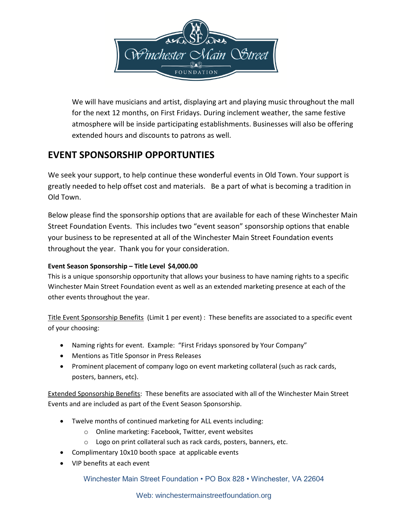

We will have musicians and artist, displaying art and playing music throughout the mall for the next 12 months, on First Fridays. During inclement weather, the same festive atmosphere will be inside participating establishments. Businesses will also be offering extended hours and discounts to patrons as well.

### **EVENT SPONSORSHIP OPPORTUNTIES**

We seek your support, to help continue these wonderful events in Old Town. Your support is greatly needed to help offset cost and materials. Be a part of what is becoming a tradition in Old Town.

Below please find the sponsorship options that are available for each of these Winchester Main Street Foundation Events. This includes two "event season" sponsorship options that enable your business to be represented at all of the Winchester Main Street Foundation events throughout the year. Thank you for your consideration.

#### **Event Season Sponsorship – Title Level \$4,000.00**

This is a unique sponsorship opportunity that allows your business to have naming rights to a specific Winchester Main Street Foundation event as well as an extended marketing presence at each of the other events throughout the year.

Title Event Sponsorship Benefits (Limit 1 per event) : These benefits are associated to a specific event of your choosing:

- Naming rights for event. Example: "First Fridays sponsored by Your Company"
- Mentions as Title Sponsor in Press Releases
- Prominent placement of company logo on event marketing collateral (such as rack cards, posters, banners, etc).

Extended Sponsorship Benefits: These benefits are associated with all of the Winchester Main Street Events and are included as part of the Event Season Sponsorship.

- Twelve months of continued marketing for ALL events including:
	- o Online marketing: Facebook, Twitter, event websites
	- o Logo on print collateral such as rack cards, posters, banners, etc.
- Complimentary 10x10 booth space at applicable events
- VIP benefits at each event

Winchester Main Street Foundation • PO Box 828 • Winchester, VA 22604

Web: winchestermainstreetfoundation.org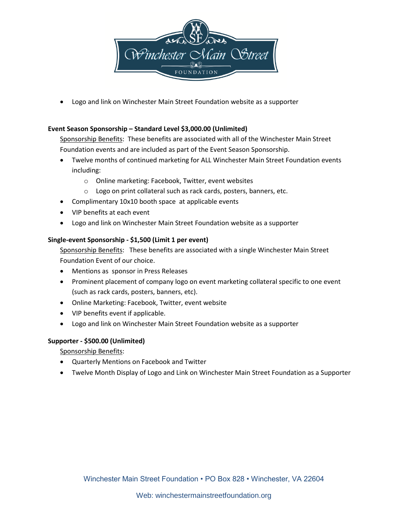

Logo and link on Winchester Main Street Foundation website as a supporter

#### **Event Season Sponsorship – Standard Level \$3,000.00 (Unlimited)**

Sponsorship Benefits: These benefits are associated with all of the Winchester Main Street Foundation events and are included as part of the Event Season Sponsorship.

- Twelve months of continued marketing for ALL Winchester Main Street Foundation events including:
	- o Online marketing: Facebook, Twitter, event websites
	- o Logo on print collateral such as rack cards, posters, banners, etc.
- Complimentary 10x10 booth space at applicable events
- VIP benefits at each event
- Logo and link on Winchester Main Street Foundation website as a supporter

#### **Single-event Sponsorship - \$1,500 (Limit 1 per event)**

Sponsorship Benefits: These benefits are associated with a single Winchester Main Street Foundation Event of our choice.

- Mentions as sponsor in Press Releases
- Prominent placement of company logo on event marketing collateral specific to one event (such as rack cards, posters, banners, etc).
- Online Marketing: Facebook, Twitter, event website
- VIP benefits event if applicable.
- Logo and link on Winchester Main Street Foundation website as a supporter

#### **Supporter - \$500.00 (Unlimited)**

Sponsorship Benefits:

- Quarterly Mentions on Facebook and Twitter
- Twelve Month Display of Logo and Link on Winchester Main Street Foundation as a Supporter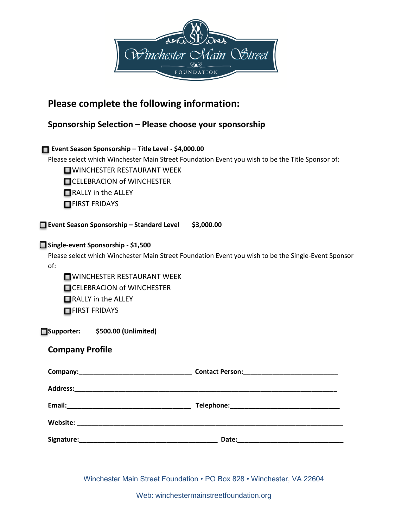

### **Please complete the following information:**

#### **Sponsorship Selection – Please choose your sponsorship**

#### **Event Season Sponsorship – Title Level - \$4,000.00**

Please select which Winchester Main Street Foundation Event you wish to be the Title Sponsor of:

WINCHESTER RESTAURANT WEEK

**CELEBRACION of WINCHESTER** 

RALLY in the ALLEY

**FIRST FRIDAYS** 

**Event Season Sponsorship – Standard Level \$3,000.00**

#### **Single-event Sponsorship - \$1,500**

Please select which Winchester Main Street Foundation Event you wish to be the Single-Event Sponsor of:

WINCHESTER RESTAURANT WEEK **CELEBRACION of WINCHESTER** RALLY in the ALLEY **FIRST FRIDAYS** 

**Supporter: \$500.00 (Unlimited)**

#### **Company Profile**

| Contact Person: _________________________________                                                  |
|----------------------------------------------------------------------------------------------------|
|                                                                                                    |
|                                                                                                    |
|                                                                                                    |
| Date:<br>the control of the control of the control of the control of the control of the control of |